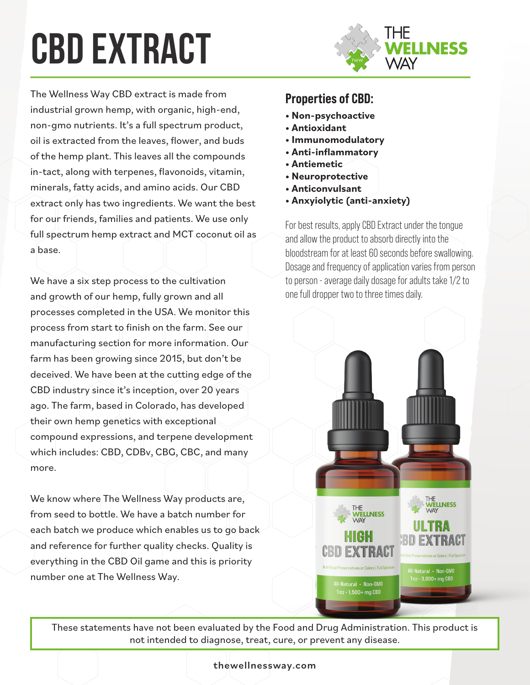# **cbd extract**



The Wellness Way CBD extract is made from industrial grown hemp, with organic, high-end, non-gmo nutrients. It's a full spectrum product, oil is extracted from the leaves, flower, and buds of the hemp plant. This leaves all the compounds in-tact, along with terpenes, flavonoids, vitamin, minerals, fatty acids, and amino acids. Our CBD extract only has two ingredients. We want the best for our friends, families and patients. We use only full spectrum hemp extract and MCT coconut oil as a base.

We have a six step process to the cultivation and growth of our hemp, fully grown and all processes completed in the USA. We monitor this process from start to finish on the farm. See our manufacturing section for more information. Our farm has been growing since 2015, but don't be deceived. We have been at the cutting edge of the CBD industry since it's inception, over 20 years ago. The farm, based in Colorado, has developed their own hemp genetics with exceptional compound expressions, and terpene development which includes: CBD, CDBv, CBG, CBC, and many more.

We know where The Wellness Way products are, from seed to bottle. We have a batch number for each batch we produce which enables us to go back and reference for further quality checks. Quality is everything in the CBD Oil game and this is priority number one at The Wellness Way.

### Properties of CBD:

- **Non-psychoactive**
- **Antioxidant**
- **Immunomodulatory**
- **Anti-inflammatory**
- **Antiemetic**
- **Neuroprotective**
- **Anticonvulsant**
- **Anxyiolytic (anti-anxiety)**

For best results, apply CBD Extract under the tongue and allow the product to absorb directly into the bloodstream for at least 60 seconds before swallowing. Dosage and frequency of application varies from person to person - average daily dosage for adults take 1/2 to one full dropper two to three times daily.



These statements have not been evaluated by the Food and Drug Administration. This product is not intended to diagnose, treat, cure, or prevent any disease.

#### thewellnessway.com